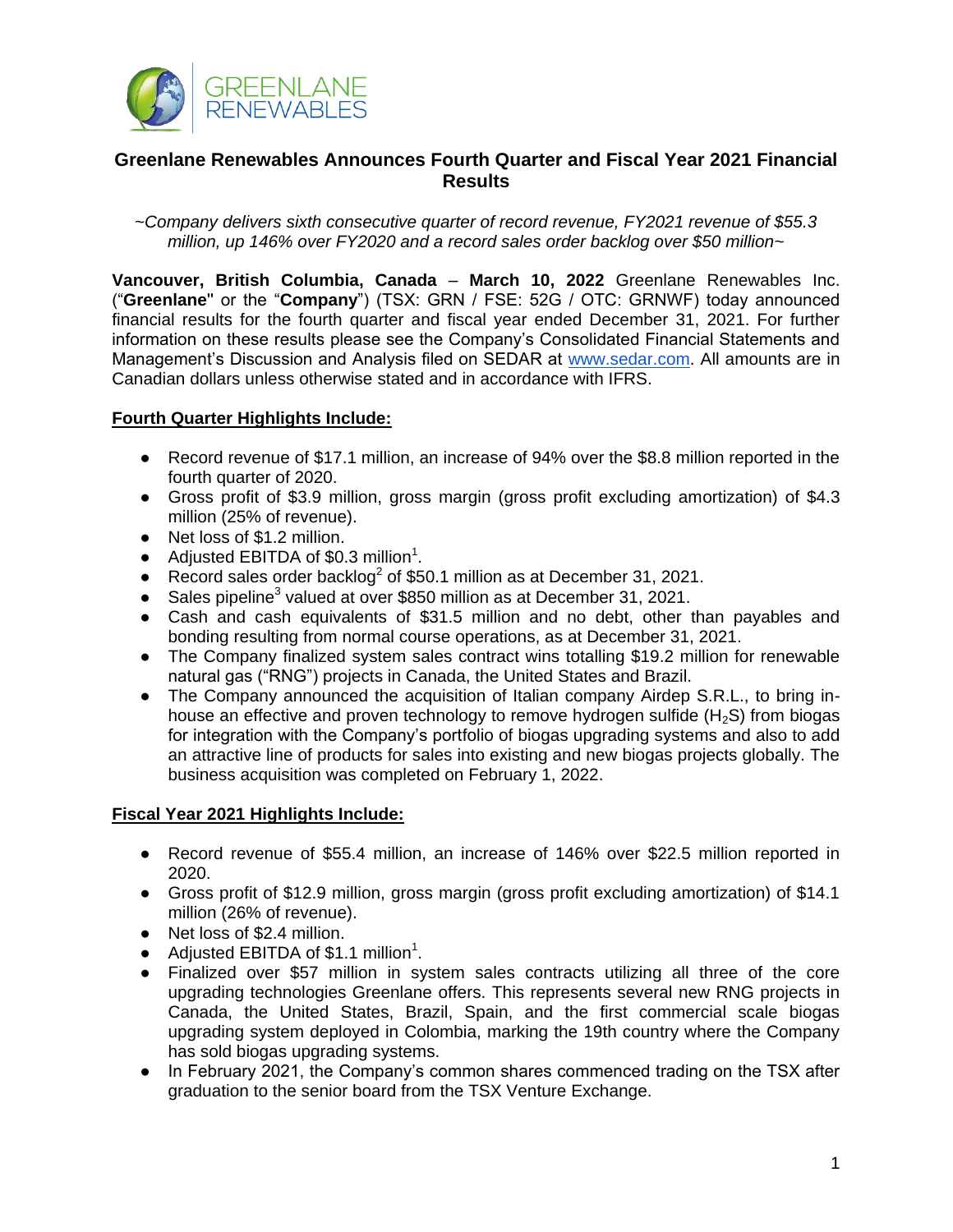

# **Greenlane Renewables Announces Fourth Quarter and Fiscal Year 2021 Financial Results**

*~Company delivers sixth consecutive quarter of record revenue, FY2021 revenue of \$55.3 million, up 146% over FY2020 and a record sales order backlog over \$50 million~* 

**Vancouver, British Columbia, Canada** – **March 10, 2022** Greenlane Renewables Inc. ("**Greenlane**'' or the "**Company**") (TSX: GRN / FSE: 52G / OTC: GRNWF) today announced financial results for the fourth quarter and fiscal year ended December 31, 2021. For further information on these results please see the Company's Consolidated Financial Statements and Management's Discussion and Analysis filed on SEDAR at [www.sedar.com.](http://www.sedar.com/) All amounts are in Canadian dollars unless otherwise stated and in accordance with IFRS.

## **Fourth Quarter Highlights Include:**

- Record revenue of \$17.1 million, an increase of 94% over the \$8.8 million reported in the fourth quarter of 2020.
- Gross profit of \$3.9 million, gross margin (gross profit excluding amortization) of \$4.3 million (25% of revenue).
- Net loss of \$1.2 million.
- $\bullet$  Adjusted EBITDA of \$0.3 million<sup>1</sup>.
- Record sales order backlog<sup>2</sup> of \$50.1 million as at December 31, 2021.
- Sales pipeline<sup>3</sup> valued at over \$850 million as at December 31, 2021.
- Cash and cash equivalents of \$31.5 million and no debt, other than payables and bonding resulting from normal course operations, as at December 31, 2021.
- The Company finalized system sales contract wins totalling \$19.2 million for renewable natural gas ("RNG") projects in Canada, the United States and Brazil.
- The Company announced the acquisition of Italian company Airdep S.R.L., to bring inhouse an effective and proven technology to remove hydrogen sulfide  $(H_2S)$  from biogas for integration with the Company's portfolio of biogas upgrading systems and also to add an attractive line of products for sales into existing and new biogas projects globally. The business acquisition was completed on February 1, 2022.

### **Fiscal Year 2021 Highlights Include:**

- Record revenue of \$55.4 million, an increase of 146% over \$22.5 million reported in 2020.
- Gross profit of \$12.9 million, gross margin (gross profit excluding amortization) of \$14.1 million (26% of revenue).
- Net loss of \$2.4 million.
- Adjusted EBITDA of \$1.1 million<sup>1</sup>.
- Finalized over \$57 million in system sales contracts utilizing all three of the core upgrading technologies Greenlane offers. This represents several new RNG projects in Canada, the United States, Brazil, Spain, and the first commercial scale biogas upgrading system deployed in Colombia, marking the 19th country where the Company has sold biogas upgrading systems.
- In February 2021, the Company's common shares commenced trading on the TSX after graduation to the senior board from the TSX Venture Exchange.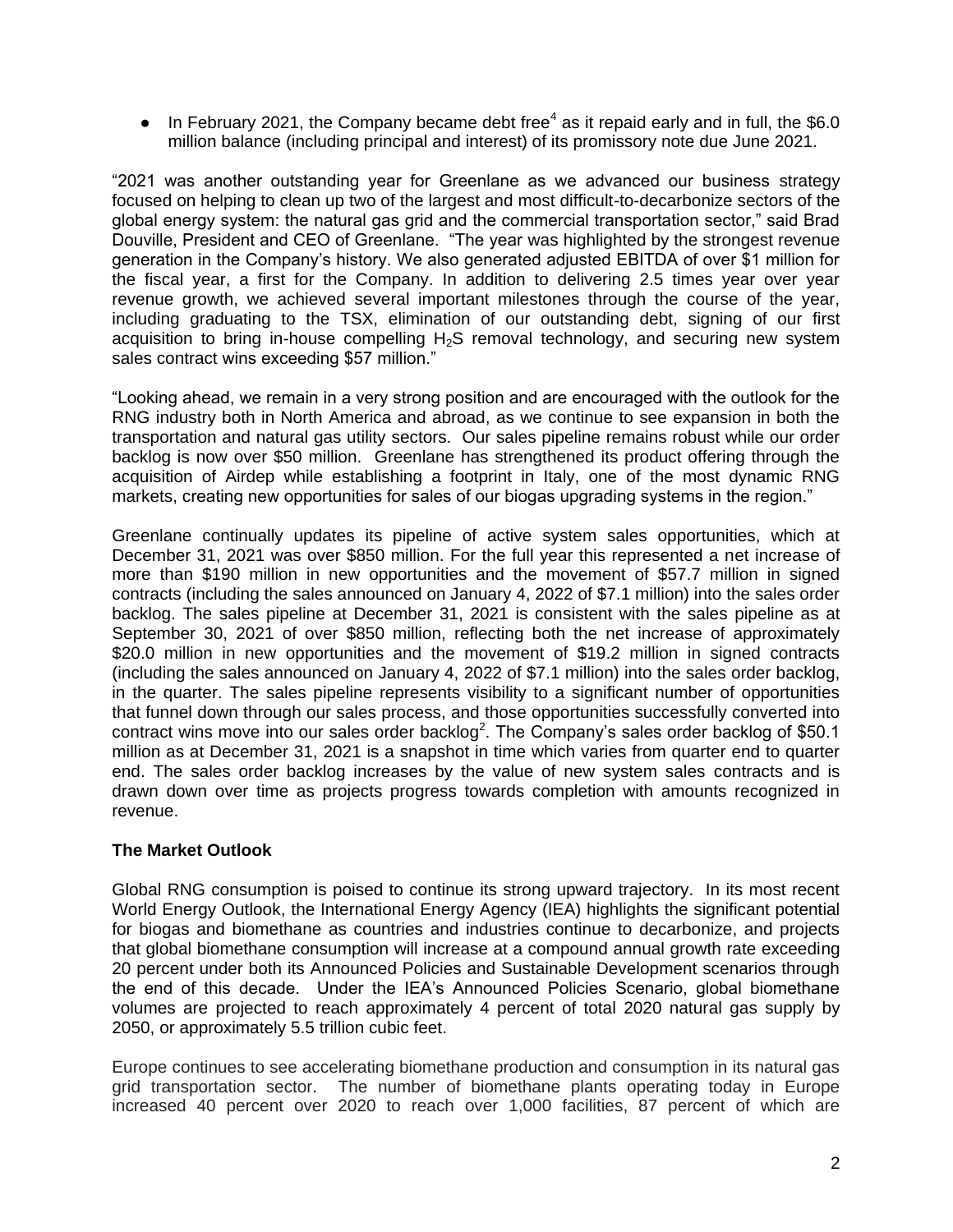• In February 2021, the Company became debt free<sup>4</sup> as it repaid early and in full, the \$6.0 million balance (including principal and interest) of its promissory note due June 2021.

"2021 was another outstanding year for Greenlane as we advanced our business strategy focused on helping to clean up two of the largest and most difficult-to-decarbonize sectors of the global energy system: the natural gas grid and the commercial transportation sector," said Brad Douville, President and CEO of Greenlane. "The year was highlighted by the strongest revenue generation in the Company's history. We also generated adjusted EBITDA of over \$1 million for the fiscal year, a first for the Company. In addition to delivering 2.5 times year over year revenue growth, we achieved several important milestones through the course of the year, including graduating to the TSX, elimination of our outstanding debt, signing of our first acquisition to bring in-house compelling  $H_2S$  removal technology, and securing new system sales contract wins exceeding \$57 million."

"Looking ahead, we remain in a very strong position and are encouraged with the outlook for the RNG industry both in North America and abroad, as we continue to see expansion in both the transportation and natural gas utility sectors. Our sales pipeline remains robust while our order backlog is now over \$50 million. Greenlane has strengthened its product offering through the acquisition of Airdep while establishing a footprint in Italy, one of the most dynamic RNG markets, creating new opportunities for sales of our biogas upgrading systems in the region."

Greenlane continually updates its pipeline of active system sales opportunities, which at December 31, 2021 was over \$850 million. For the full year this represented a net increase of more than \$190 million in new opportunities and the movement of \$57.7 million in signed contracts (including the sales announced on January 4, 2022 of \$7.1 million) into the sales order backlog. The sales pipeline at December 31, 2021 is consistent with the sales pipeline as at September 30, 2021 of over \$850 million, reflecting both the net increase of approximately \$20.0 million in new opportunities and the movement of \$19.2 million in signed contracts (including the sales announced on January 4, 2022 of \$7.1 million) into the sales order backlog, in the quarter. The sales pipeline represents visibility to a significant number of opportunities that funnel down through our sales process, and those opportunities successfully converted into contract wins move into our sales order backlog<sup>2</sup>. The Company's sales order backlog of \$50.1 million as at December 31, 2021 is a snapshot in time which varies from quarter end to quarter end. The sales order backlog increases by the value of new system sales contracts and is drawn down over time as projects progress towards completion with amounts recognized in revenue.

# **The Market Outlook**

Global RNG consumption is poised to continue its strong upward trajectory. In its most recent World Energy Outlook, the International Energy Agency (IEA) highlights the significant potential for biogas and biomethane as countries and industries continue to decarbonize, and projects that global biomethane consumption will increase at a compound annual growth rate exceeding 20 percent under both its Announced Policies and Sustainable Development scenarios through the end of this decade. Under the IEA's Announced Policies Scenario, global biomethane volumes are projected to reach approximately 4 percent of total 2020 natural gas supply by 2050, or approximately 5.5 trillion cubic feet.

Europe continues to see accelerating biomethane production and consumption in its natural gas grid transportation sector. The number of biomethane plants operating today in Europe increased 40 percent over 2020 to reach over 1,000 facilities, 87 percent of which are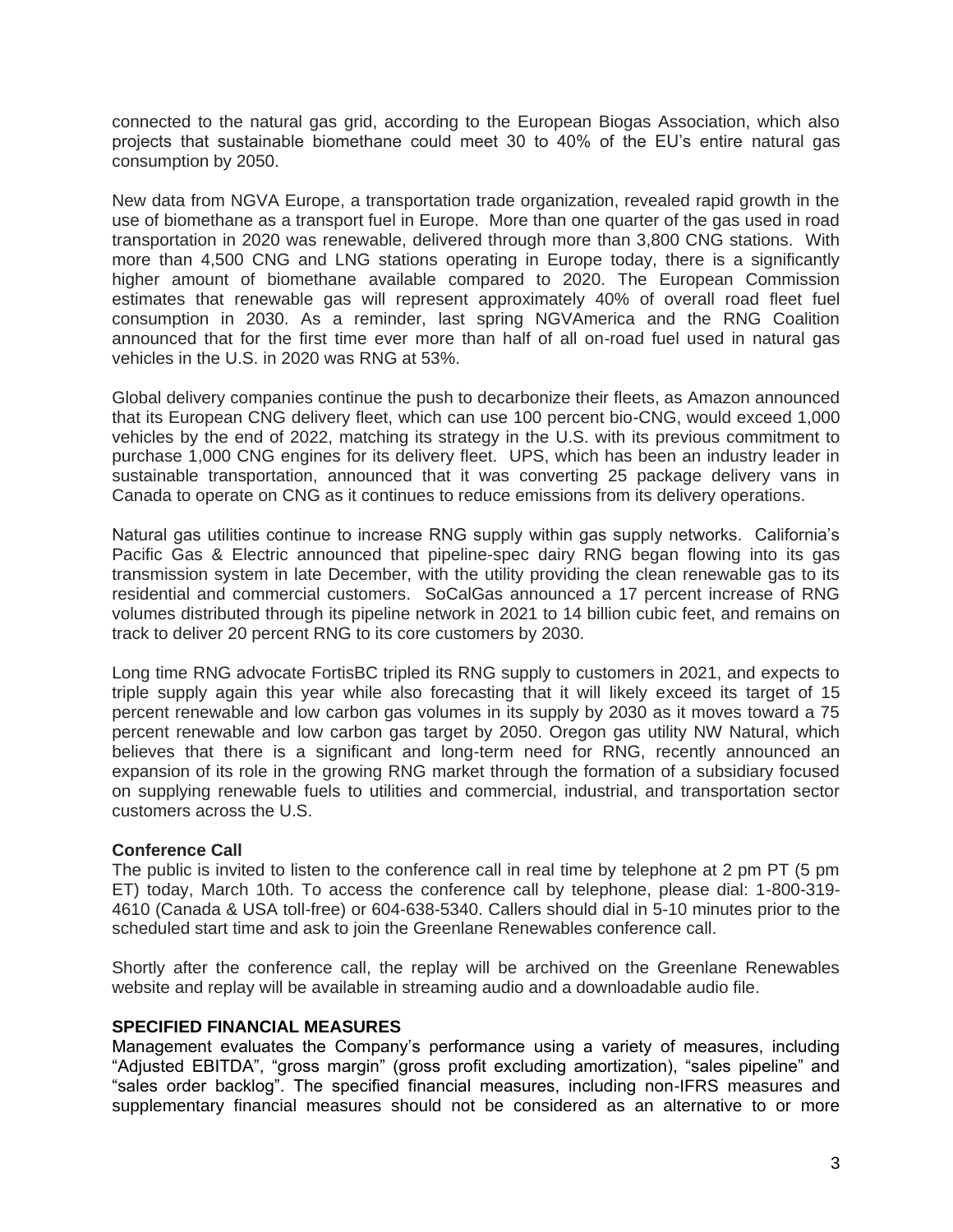connected to the natural gas grid, according to the European Biogas Association, which also projects that sustainable biomethane could meet 30 to 40% of the EU's entire natural gas consumption by 2050.

New data from NGVA Europe, a transportation trade organization, revealed rapid growth in the use of biomethane as a transport fuel in Europe. More than one quarter of the gas used in road transportation in 2020 was renewable, delivered through more than 3,800 CNG stations. With more than 4,500 CNG and LNG stations operating in Europe today, there is a significantly higher amount of biomethane available compared to 2020. The European Commission estimates that renewable gas will represent approximately 40% of overall road fleet fuel consumption in 2030. As a reminder, last spring NGVAmerica and the RNG Coalition announced that for the first time ever more than half of all on-road fuel used in natural gas vehicles in the U.S. in 2020 was RNG at 53%.

Global delivery companies continue the push to decarbonize their fleets, as Amazon announced that its European CNG delivery fleet, which can use 100 percent bio-CNG, would exceed 1,000 vehicles by the end of 2022, matching its strategy in the U.S. with its previous commitment to purchase 1,000 CNG engines for its delivery fleet. UPS, which has been an industry leader in sustainable transportation, announced that it was converting 25 package delivery vans in Canada to operate on CNG as it continues to reduce emissions from its delivery operations.

Natural gas utilities continue to increase RNG supply within gas supply networks. California's Pacific Gas & Electric announced that pipeline-spec dairy RNG began flowing into its gas transmission system in late December, with the utility providing the clean renewable gas to its residential and commercial customers. SoCalGas announced a 17 percent increase of RNG volumes distributed through its pipeline network in 2021 to 14 billion cubic feet, and remains on track to deliver 20 percent RNG to its core customers by 2030.

Long time RNG advocate FortisBC tripled its RNG supply to customers in 2021, and expects to triple supply again this year while also forecasting that it will likely exceed its target of 15 percent renewable and low carbon gas volumes in its supply by 2030 as it moves toward a 75 percent renewable and low carbon gas target by 2050. Oregon gas utility NW Natural, which believes that there is a significant and long-term need for RNG, recently announced an expansion of its role in the growing RNG market through the formation of a subsidiary focused on supplying renewable fuels to utilities and commercial, industrial, and transportation sector customers across the U.S.

# **Conference Call**

The public is invited to listen to the conference call in real time by telephone at 2 pm PT (5 pm ET) today, March 10th. To access the conference call by telephone, please dial: 1-800-319- 4610 (Canada & USA toll-free) or 604-638-5340. Callers should dial in 5-10 minutes prior to the scheduled start time and ask to join the Greenlane Renewables conference call.

Shortly after the conference call, the replay will be archived on the Greenlane Renewables website and replay will be available in streaming audio and a downloadable audio file.

### **SPECIFIED FINANCIAL MEASURES**

Management evaluates the Company's performance using a variety of measures, including "Adjusted EBITDA", "gross margin" (gross profit excluding amortization), "sales pipeline" and "sales order backlog". The specified financial measures, including non-IFRS measures and supplementary financial measures should not be considered as an alternative to or more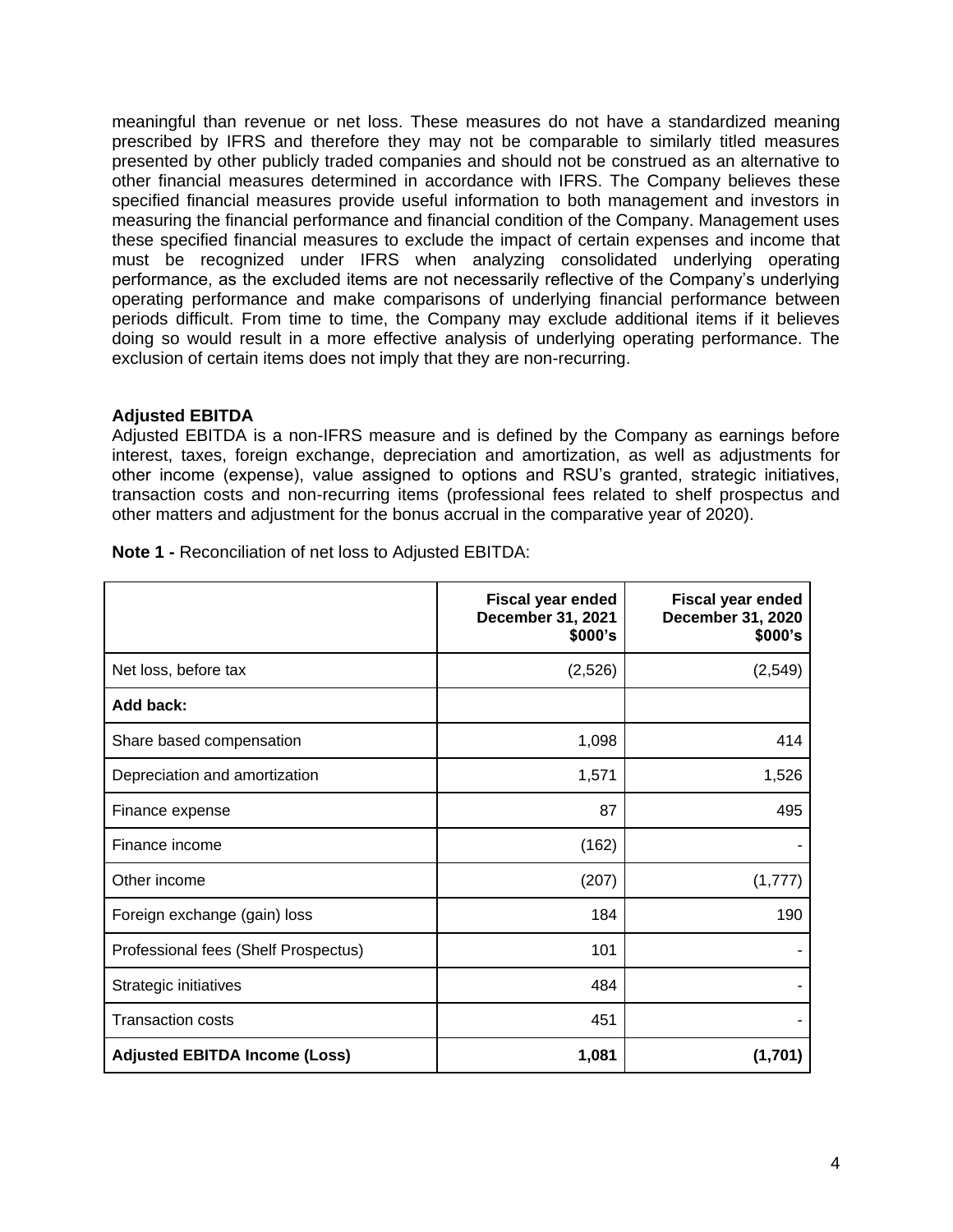meaningful than revenue or net loss. These measures do not have a standardized meaning prescribed by IFRS and therefore they may not be comparable to similarly titled measures presented by other publicly traded companies and should not be construed as an alternative to other financial measures determined in accordance with IFRS. The Company believes these specified financial measures provide useful information to both management and investors in measuring the financial performance and financial condition of the Company. Management uses these specified financial measures to exclude the impact of certain expenses and income that must be recognized under IFRS when analyzing consolidated underlying operating performance, as the excluded items are not necessarily reflective of the Company's underlying operating performance and make comparisons of underlying financial performance between periods difficult. From time to time, the Company may exclude additional items if it believes doing so would result in a more effective analysis of underlying operating performance. The exclusion of certain items does not imply that they are non-recurring.

## **Adjusted EBITDA**

Adjusted EBITDA is a non-IFRS measure and is defined by the Company as earnings before interest, taxes, foreign exchange, depreciation and amortization, as well as adjustments for other income (expense), value assigned to options and RSU's granted, strategic initiatives, transaction costs and non-recurring items (professional fees related to shelf prospectus and other matters and adjustment for the bonus accrual in the comparative year of 2020).

|                                      | <b>Fiscal year ended</b><br>December 31, 2021<br>\$000's | <b>Fiscal year ended</b><br>December 31, 2020<br>\$000's |
|--------------------------------------|----------------------------------------------------------|----------------------------------------------------------|
| Net loss, before tax                 | (2,526)                                                  | (2, 549)                                                 |
| Add back:                            |                                                          |                                                          |
| Share based compensation             | 1,098                                                    | 414                                                      |
| Depreciation and amortization        | 1,571                                                    | 1,526                                                    |
| Finance expense                      | 87                                                       | 495                                                      |
| Finance income                       | (162)                                                    |                                                          |
| Other income                         | (207)                                                    | (1,777)                                                  |
| Foreign exchange (gain) loss         | 184                                                      | 190                                                      |
| Professional fees (Shelf Prospectus) | 101                                                      |                                                          |
| Strategic initiatives                | 484                                                      |                                                          |
| <b>Transaction costs</b>             | 451                                                      |                                                          |
| <b>Adjusted EBITDA Income (Loss)</b> | 1,081                                                    | (1,701)                                                  |

**Note 1 -** Reconciliation of net loss to Adjusted EBITDA: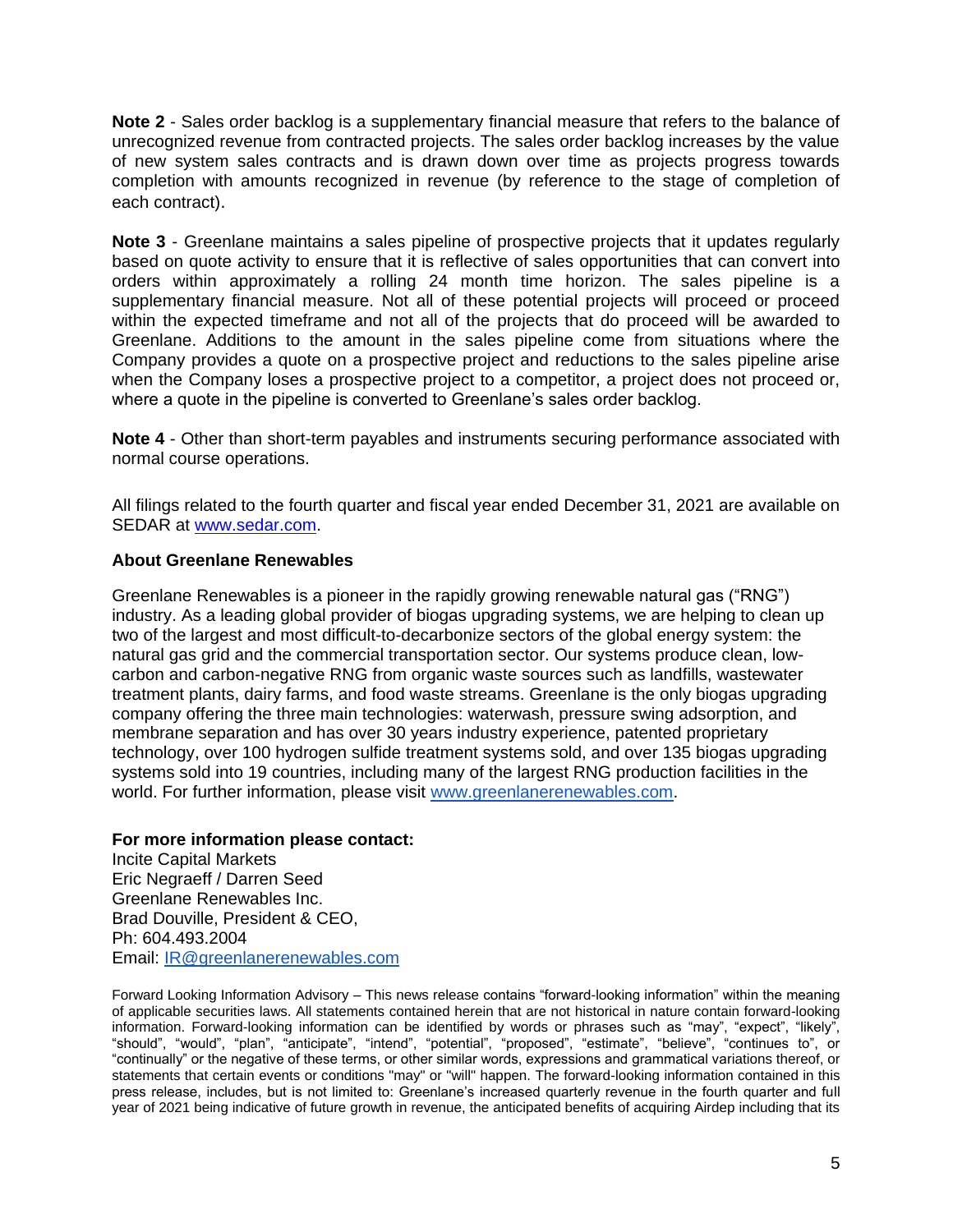**Note 2** - Sales order backlog is a supplementary financial measure that refers to the balance of unrecognized revenue from contracted projects. The sales order backlog increases by the value of new system sales contracts and is drawn down over time as projects progress towards completion with amounts recognized in revenue (by reference to the stage of completion of each contract).

**Note 3** - Greenlane maintains a sales pipeline of prospective projects that it updates regularly based on quote activity to ensure that it is reflective of sales opportunities that can convert into orders within approximately a rolling 24 month time horizon. The sales pipeline is a supplementary financial measure. Not all of these potential projects will proceed or proceed within the expected timeframe and not all of the projects that do proceed will be awarded to Greenlane. Additions to the amount in the sales pipeline come from situations where the Company provides a quote on a prospective project and reductions to the sales pipeline arise when the Company loses a prospective project to a competitor, a project does not proceed or, where a quote in the pipeline is converted to Greenlane's sales order backlog.

**Note 4** - Other than short-term payables and instruments securing performance associated with normal course operations.

All filings related to the fourth quarter and fiscal year ended December 31, 2021 are available on SEDAR at [www.sedar.com.](http://www.sedar.com/)

## **About Greenlane Renewables**

Greenlane Renewables is a pioneer in the rapidly growing renewable natural gas ("RNG") industry. As a leading global provider of biogas upgrading systems, we are helping to clean up two of the largest and most difficult-to-decarbonize sectors of the global energy system: the natural gas grid and the commercial transportation sector. Our systems produce clean, lowcarbon and carbon-negative RNG from organic waste sources such as landfills, wastewater treatment plants, dairy farms, and food waste streams. Greenlane is the only biogas upgrading company offering the three main technologies: waterwash, pressure swing adsorption, and membrane separation and has over 30 years industry experience, patented proprietary technology, over 100 hydrogen sulfide treatment systems sold, and over 135 biogas upgrading systems sold into 19 countries, including many of the largest RNG production facilities in the world. For further information, please visit [www.greenlanerenewables.com.](http://www.greenlanerenewables.com/)

### **For more information please contact:**

Incite Capital Markets Eric Negraeff / Darren Seed Greenlane Renewables Inc. Brad Douville, President & CEO, Ph: 604.493.2004 Email: [IR@greenlanerenewables.com](mailto:IR@greenlanerenewables.com)

Forward Looking Information Advisory – This news release contains "forward-looking information" within the meaning of applicable securities laws. All statements contained herein that are not historical in nature contain forward-looking information. Forward-looking information can be identified by words or phrases such as "may", "expect", "likely", "should", "would", "plan", "anticipate", "intend", "potential", "proposed", "estimate", "believe", "continues to", or "continually" or the negative of these terms, or other similar words, expressions and grammatical variations thereof, or statements that certain events or conditions "may" or "will" happen. The forward-looking information contained in this press release, includes, but is not limited to: Greenlane's increased quarterly revenue in the fourth quarter and full year of 2021 being indicative of future growth in revenue, the anticipated benefits of acquiring Airdep including that its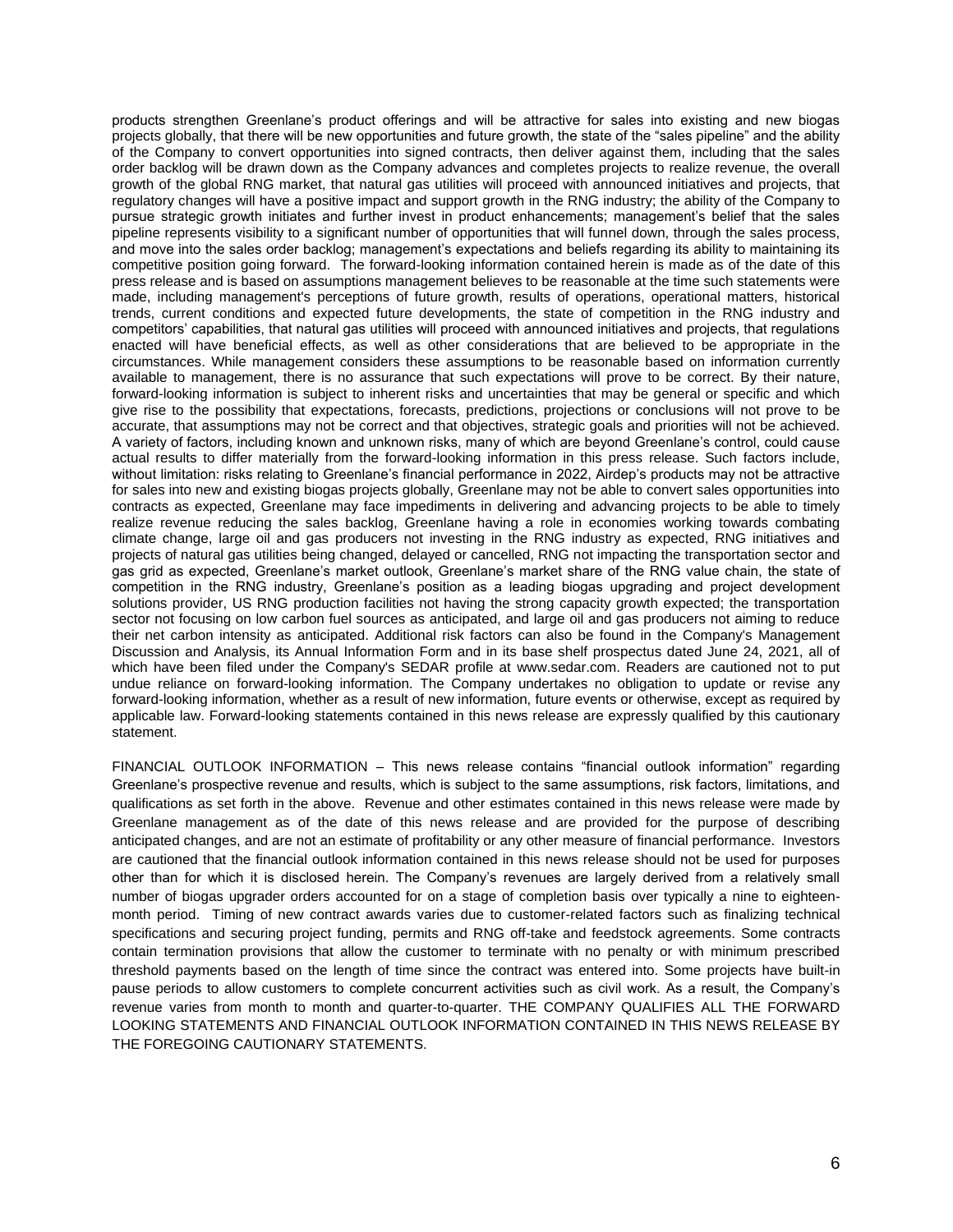products strengthen Greenlane's product offerings and will be attractive for sales into existing and new biogas projects globally, that there will be new opportunities and future growth, the state of the "sales pipeline" and the ability of the Company to convert opportunities into signed contracts, then deliver against them, including that the sales order backlog will be drawn down as the Company advances and completes projects to realize revenue, the overall growth of the global RNG market, that natural gas utilities will proceed with announced initiatives and projects, that regulatory changes will have a positive impact and support growth in the RNG industry; the ability of the Company to pursue strategic growth initiates and further invest in product enhancements; management's belief that the sales pipeline represents visibility to a significant number of opportunities that will funnel down, through the sales process, and move into the sales order backlog; management's expectations and beliefs regarding its ability to maintaining its competitive position going forward. The forward-looking information contained herein is made as of the date of this press release and is based on assumptions management believes to be reasonable at the time such statements were made, including management's perceptions of future growth, results of operations, operational matters, historical trends, current conditions and expected future developments, the state of competition in the RNG industry and competitors' capabilities, that natural gas utilities will proceed with announced initiatives and projects, that regulations enacted will have beneficial effects, as well as other considerations that are believed to be appropriate in the circumstances. While management considers these assumptions to be reasonable based on information currently available to management, there is no assurance that such expectations will prove to be correct. By their nature, forward-looking information is subject to inherent risks and uncertainties that may be general or specific and which give rise to the possibility that expectations, forecasts, predictions, projections or conclusions will not prove to be accurate, that assumptions may not be correct and that objectives, strategic goals and priorities will not be achieved. A variety of factors, including known and unknown risks, many of which are beyond Greenlane's control, could cause actual results to differ materially from the forward-looking information in this press release. Such factors include, without limitation: risks relating to Greenlane's financial performance in 2022, Airdep's products may not be attractive for sales into new and existing biogas projects globally, Greenlane may not be able to convert sales opportunities into contracts as expected, Greenlane may face impediments in delivering and advancing projects to be able to timely realize revenue reducing the sales backlog, Greenlane having a role in economies working towards combating climate change, large oil and gas producers not investing in the RNG industry as expected, RNG initiatives and projects of natural gas utilities being changed, delayed or cancelled, RNG not impacting the transportation sector and gas grid as expected, Greenlane's market outlook, Greenlane's market share of the RNG value chain, the state of competition in the RNG industry, Greenlane's position as a leading biogas upgrading and project development solutions provider, US RNG production facilities not having the strong capacity growth expected; the transportation sector not focusing on low carbon fuel sources as anticipated, and large oil and gas producers not aiming to reduce their net carbon intensity as anticipated. Additional risk factors can also be found in the Company's Management Discussion and Analysis, its Annual Information Form and in its base shelf prospectus dated June 24, 2021, all of which have been filed under the Company's SEDAR profile at www.sedar.com. Readers are cautioned not to put undue reliance on forward-looking information. The Company undertakes no obligation to update or revise any forward-looking information, whether as a result of new information, future events or otherwise, except as required by applicable law. Forward-looking statements contained in this news release are expressly qualified by this cautionary statement.

FINANCIAL OUTLOOK INFORMATION – This news release contains "financial outlook information" regarding Greenlane's prospective revenue and results, which is subject to the same assumptions, risk factors, limitations, and qualifications as set forth in the above. Revenue and other estimates contained in this news release were made by Greenlane management as of the date of this news release and are provided for the purpose of describing anticipated changes, and are not an estimate of profitability or any other measure of financial performance. Investors are cautioned that the financial outlook information contained in this news release should not be used for purposes other than for which it is disclosed herein. The Company's revenues are largely derived from a relatively small number of biogas upgrader orders accounted for on a stage of completion basis over typically a nine to eighteenmonth period. Timing of new contract awards varies due to customer-related factors such as finalizing technical specifications and securing project funding, permits and RNG off-take and feedstock agreements. Some contracts contain termination provisions that allow the customer to terminate with no penalty or with minimum prescribed threshold payments based on the length of time since the contract was entered into. Some projects have built-in pause periods to allow customers to complete concurrent activities such as civil work. As a result, the Company's revenue varies from month to month and quarter-to-quarter. THE COMPANY QUALIFIES ALL THE FORWARD LOOKING STATEMENTS AND FINANCIAL OUTLOOK INFORMATION CONTAINED IN THIS NEWS RELEASE BY THE FOREGOING CAUTIONARY STATEMENTS.